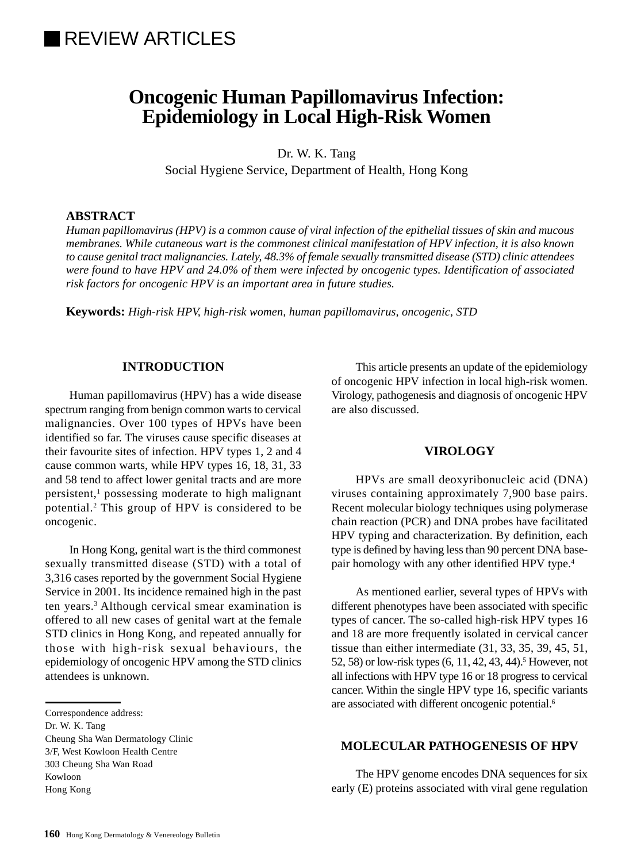# **REVIEW ARTICLES**

## **Oncogenic Human Papillomavirus Infection: Epidemiology in Local High-Risk Women**

Dr. W. K. Tang

Social Hygiene Service, Department of Health, Hong Kong

## **ABSTRACT**

*Human papillomavirus (HPV) is a common cause of viral infection of the epithelial tissues of skin and mucous membranes. While cutaneous wart is the commonest clinical manifestation of HPV infection, it is also known to cause genital tract malignancies. Lately, 48.3% of female sexually transmitted disease (STD) clinic attendees were found to have HPV and 24.0% of them were infected by oncogenic types. Identification of associated risk factors for oncogenic HPV is an important area in future studies.*

**Keywords:** *High-risk HPV, high-risk women, human papillomavirus, oncogenic, STD*

#### **INTRODUCTION**

Human papillomavirus (HPV) has a wide disease spectrum ranging from benign common warts to cervical malignancies. Over 100 types of HPVs have been identified so far. The viruses cause specific diseases at their favourite sites of infection. HPV types 1, 2 and 4 cause common warts, while HPV types 16, 18, 31, 33 and 58 tend to affect lower genital tracts and are more persistent,<sup>1</sup> possessing moderate to high malignant potential.2 This group of HPV is considered to be oncogenic.

In Hong Kong, genital wart is the third commonest sexually transmitted disease (STD) with a total of 3,316 cases reported by the government Social Hygiene Service in 2001. Its incidence remained high in the past ten years.3 Although cervical smear examination is offered to all new cases of genital wart at the female STD clinics in Hong Kong, and repeated annually for those with high-risk sexual behaviours, the epidemiology of oncogenic HPV among the STD clinics attendees is unknown.

Cheung Sha Wan Dermatology Clinic 3/F, West Kowloon Health Centre 303 Cheung Sha Wan Road Kowloon Hong Kong

This article presents an update of the epidemiology of oncogenic HPV infection in local high-risk women. Virology, pathogenesis and diagnosis of oncogenic HPV are also discussed.

#### **VIROLOGY**

HPVs are small deoxyribonucleic acid (DNA) viruses containing approximately 7,900 base pairs. Recent molecular biology techniques using polymerase chain reaction (PCR) and DNA probes have facilitated HPV typing and characterization. By definition, each type is defined by having less than 90 percent DNA basepair homology with any other identified HPV type.4

As mentioned earlier, several types of HPVs with different phenotypes have been associated with specific types of cancer. The so-called high-risk HPV types 16 and 18 are more frequently isolated in cervical cancer tissue than either intermediate (31, 33, 35, 39, 45, 51, 52, 58) or low-risk types (6, 11, 42, 43, 44).<sup>5</sup> However, not all infections with HPV type 16 or 18 progress to cervical cancer. Within the single HPV type 16, specific variants are associated with different oncogenic potential.6

## **MOLECULAR PATHOGENESIS OF HPV**

The HPV genome encodes DNA sequences for six early (E) proteins associated with viral gene regulation

Correspondence address:

Dr. W. K. Tang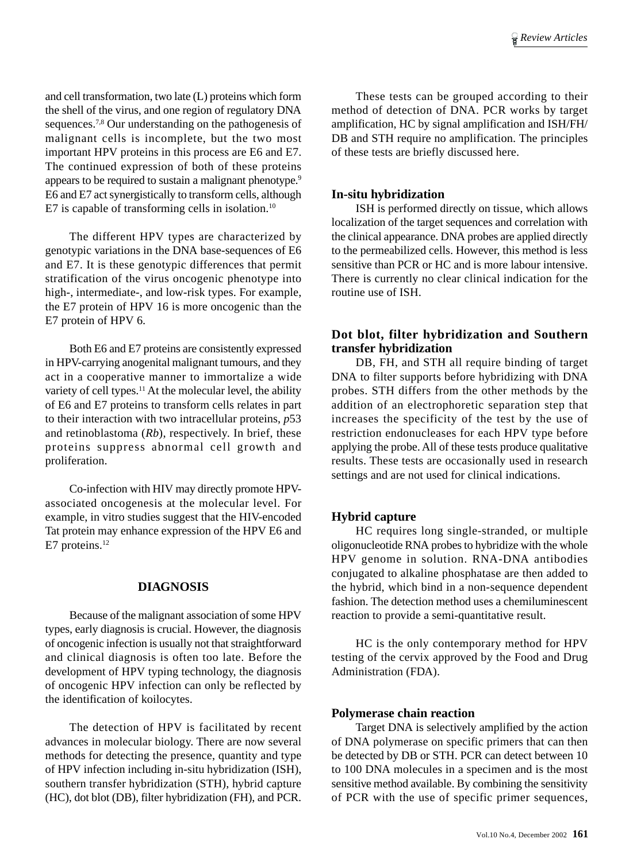and cell transformation, two late (L) proteins which form the shell of the virus, and one region of regulatory DNA sequences.<sup>7,8</sup> Our understanding on the pathogenesis of malignant cells is incomplete, but the two most important HPV proteins in this process are E6 and E7. The continued expression of both of these proteins appears to be required to sustain a malignant phenotype.9 E6 and E7 act synergistically to transform cells, although E7 is capable of transforming cells in isolation.<sup>10</sup>

The different HPV types are characterized by genotypic variations in the DNA base-sequences of E6 and E7. It is these genotypic differences that permit stratification of the virus oncogenic phenotype into high-, intermediate-, and low-risk types. For example, the E7 protein of HPV 16 is more oncogenic than the E7 protein of HPV 6.

Both E6 and E7 proteins are consistently expressed in HPV-carrying anogenital malignant tumours, and they act in a cooperative manner to immortalize a wide variety of cell types.<sup>11</sup> At the molecular level, the ability of E6 and E7 proteins to transform cells relates in part to their interaction with two intracellular proteins, *p*53 and retinoblastoma (*Rb*), respectively. In brief, these proteins suppress abnormal cell growth and proliferation.

Co-infection with HIV may directly promote HPVassociated oncogenesis at the molecular level. For example, in vitro studies suggest that the HIV-encoded Tat protein may enhance expression of the HPV E6 and E7 proteins.<sup>12</sup>

#### **DIAGNOSIS**

Because of the malignant association of some HPV types, early diagnosis is crucial. However, the diagnosis of oncogenic infection is usually not that straightforward and clinical diagnosis is often too late. Before the development of HPV typing technology, the diagnosis of oncogenic HPV infection can only be reflected by the identification of koilocytes.

The detection of HPV is facilitated by recent advances in molecular biology. There are now several methods for detecting the presence, quantity and type of HPV infection including in-situ hybridization (ISH), southern transfer hybridization (STH), hybrid capture (HC), dot blot (DB), filter hybridization (FH), and PCR.

These tests can be grouped according to their method of detection of DNA. PCR works by target amplification, HC by signal amplification and ISH/FH/ DB and STH require no amplification. The principles of these tests are briefly discussed here.

#### **In-situ hybridization**

ISH is performed directly on tissue, which allows localization of the target sequences and correlation with the clinical appearance. DNA probes are applied directly to the permeabilized cells. However, this method is less sensitive than PCR or HC and is more labour intensive. There is currently no clear clinical indication for the routine use of ISH.

## **Dot blot, filter hybridization and Southern transfer hybridization**

DB, FH, and STH all require binding of target DNA to filter supports before hybridizing with DNA probes. STH differs from the other methods by the addition of an electrophoretic separation step that increases the specificity of the test by the use of restriction endonucleases for each HPV type before applying the probe. All of these tests produce qualitative results. These tests are occasionally used in research settings and are not used for clinical indications.

#### **Hybrid capture**

HC requires long single-stranded, or multiple oligonucleotide RNA probes to hybridize with the whole HPV genome in solution. RNA-DNA antibodies conjugated to alkaline phosphatase are then added to the hybrid, which bind in a non-sequence dependent fashion. The detection method uses a chemiluminescent reaction to provide a semi-quantitative result.

HC is the only contemporary method for HPV testing of the cervix approved by the Food and Drug Administration (FDA).

#### **Polymerase chain reaction**

Target DNA is selectively amplified by the action of DNA polymerase on specific primers that can then be detected by DB or STH. PCR can detect between 10 to 100 DNA molecules in a specimen and is the most sensitive method available. By combining the sensitivity of PCR with the use of specific primer sequences,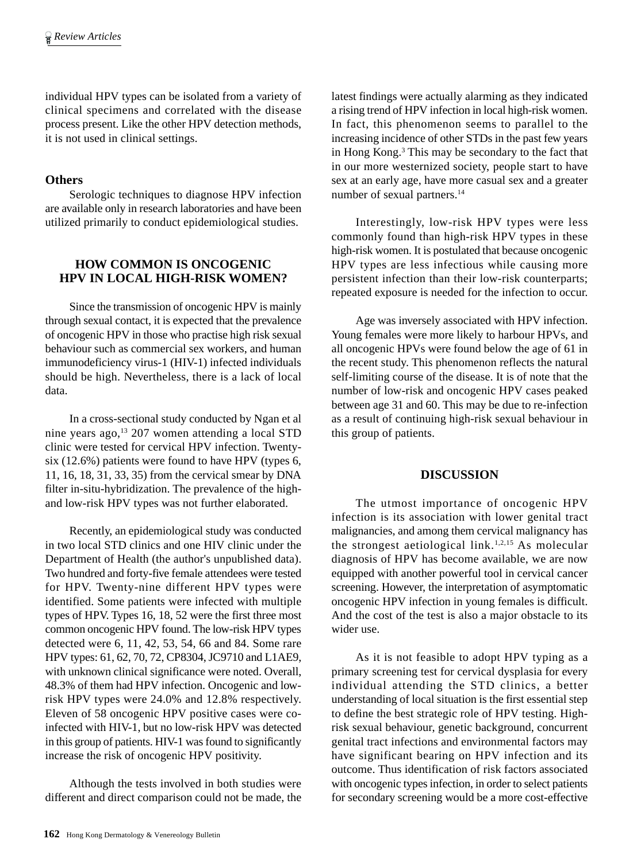individual HPV types can be isolated from a variety of clinical specimens and correlated with the disease process present. Like the other HPV detection methods, it is not used in clinical settings.

## **Others**

Serologic techniques to diagnose HPV infection are available only in research laboratories and have been utilized primarily to conduct epidemiological studies.

## **HOW COMMON IS ONCOGENIC HPV IN LOCAL HIGH-RISK WOMEN?**

Since the transmission of oncogenic HPV is mainly through sexual contact, it is expected that the prevalence of oncogenic HPV in those who practise high risk sexual behaviour such as commercial sex workers, and human immunodeficiency virus-1 (HIV-1) infected individuals should be high. Nevertheless, there is a lack of local data.

In a cross-sectional study conducted by Ngan et al nine years ago,<sup>13</sup> 207 women attending a local STD clinic were tested for cervical HPV infection. Twentysix (12.6%) patients were found to have HPV (types 6, 11, 16, 18, 31, 33, 35) from the cervical smear by DNA filter in-situ-hybridization. The prevalence of the highand low-risk HPV types was not further elaborated.

Recently, an epidemiological study was conducted in two local STD clinics and one HIV clinic under the Department of Health (the author's unpublished data). Two hundred and forty-five female attendees were tested for HPV. Twenty-nine different HPV types were identified. Some patients were infected with multiple types of HPV. Types 16, 18, 52 were the first three most common oncogenic HPV found. The low-risk HPV types detected were 6, 11, 42, 53, 54, 66 and 84. Some rare HPV types: 61, 62, 70, 72, CP8304, JC9710 and L1AE9, with unknown clinical significance were noted. Overall, 48.3% of them had HPV infection. Oncogenic and lowrisk HPV types were 24.0% and 12.8% respectively. Eleven of 58 oncogenic HPV positive cases were coinfected with HIV-1, but no low-risk HPV was detected in this group of patients. HIV-1 was found to significantly increase the risk of oncogenic HPV positivity.

Although the tests involved in both studies were different and direct comparison could not be made, the

latest findings were actually alarming as they indicated a rising trend of HPV infection in local high-risk women. In fact, this phenomenon seems to parallel to the increasing incidence of other STDs in the past few years in Hong Kong.3 This may be secondary to the fact that in our more westernized society, people start to have sex at an early age, have more casual sex and a greater number of sexual partners.<sup>14</sup>

Interestingly, low-risk HPV types were less commonly found than high-risk HPV types in these high-risk women. It is postulated that because oncogenic HPV types are less infectious while causing more persistent infection than their low-risk counterparts; repeated exposure is needed for the infection to occur.

Age was inversely associated with HPV infection. Young females were more likely to harbour HPVs, and all oncogenic HPVs were found below the age of 61 in the recent study. This phenomenon reflects the natural self-limiting course of the disease. It is of note that the number of low-risk and oncogenic HPV cases peaked between age 31 and 60. This may be due to re-infection as a result of continuing high-risk sexual behaviour in this group of patients.

## **DISCUSSION**

The utmost importance of oncogenic HPV infection is its association with lower genital tract malignancies, and among them cervical malignancy has the strongest aetiological link.<sup>1,2,15</sup> As molecular diagnosis of HPV has become available, we are now equipped with another powerful tool in cervical cancer screening. However, the interpretation of asymptomatic oncogenic HPV infection in young females is difficult. And the cost of the test is also a major obstacle to its wider use.

As it is not feasible to adopt HPV typing as a primary screening test for cervical dysplasia for every individual attending the STD clinics, a better understanding of local situation is the first essential step to define the best strategic role of HPV testing. Highrisk sexual behaviour, genetic background, concurrent genital tract infections and environmental factors may have significant bearing on HPV infection and its outcome. Thus identification of risk factors associated with oncogenic types infection, in order to select patients for secondary screening would be a more cost-effective